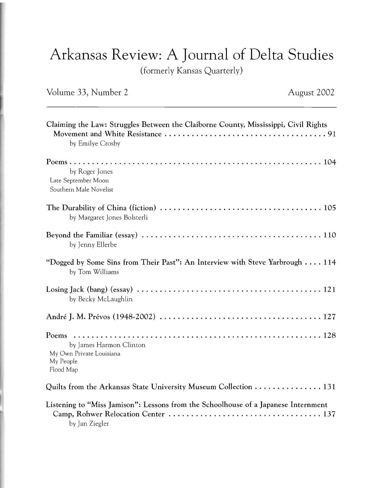## Arkansas Review: A Journal of Delta Studies

( formerly Kansas Quarterly)

## Volume 33, Number 2 August 2002

| Claiming the Law: Struggles Between the Claiborne County, Mississippi, Civil Rights<br>by Emilye Crosby |
|---------------------------------------------------------------------------------------------------------|
| by Roger Jones<br>Late September Moon<br>Southern Male Novelist                                         |
| by Margaret Jones Bolsterli                                                                             |
| by Jenny Ellerbe                                                                                        |
| "Dogged by Some Sins from Their Past": An Interview with Steve Yarbrough  114<br>by Tom Williams        |
| by Becky McLaughlin                                                                                     |
|                                                                                                         |
| by James Harmon Clinton<br>My Own Private Louisiana<br>My People<br>Flood Map                           |
| Quilts from the Arkansas State University Museum Collection  131                                        |
| Listening to "Miss Jamison": Lessons from the Schoolhouse of a Japanese Internment                      |

Camp, Rohwer Relocation Center .................................. 137 by Jan Ziegler